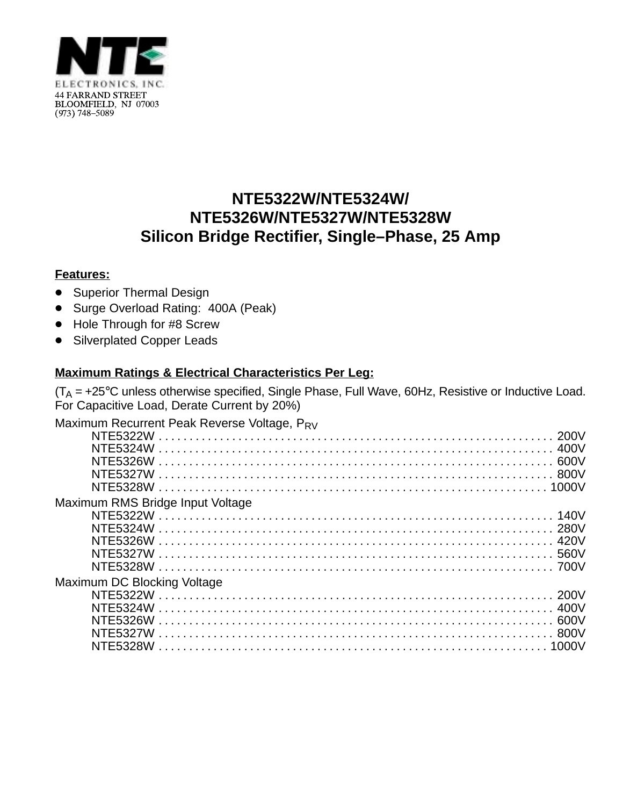

## **NTE5322W/NTE5324W/ NTE5326W/NTE5327W/NTE5328W Silicon Bridge Rectifier, Single–Phase, 25 Amp**

## **Features:**

- Superior Thermal Design
- Surge Overload Rating: 400A (Peak)
- Hole Through for #8 Screw
- Silverplated Copper Leads

## **Maximum Ratings & Electrical Characteristics Per Leg:**

 $(T_A = +25^{\circ}C$  unless otherwise specified, Single Phase, Full Wave, 60Hz, Resistive or Inductive Load. For Capacitive Load, Derate Current by 20%)

| Maximum Recurrent Peak Reverse Voltage, PRV |       |
|---------------------------------------------|-------|
| NTE5322W                                    |       |
| NTF5324W                                    |       |
| NTF5326W                                    | 600V  |
| NTF5327W                                    |       |
|                                             |       |
| Maximum RMS Bridge Input Voltage            |       |
|                                             |       |
|                                             |       |
|                                             |       |
|                                             |       |
|                                             |       |
| Maximum DC Blocking Voltage                 |       |
|                                             |       |
| NTE5324W                                    |       |
| NTF5326W                                    |       |
| NTF5327W                                    | -800V |
|                                             | 1000V |